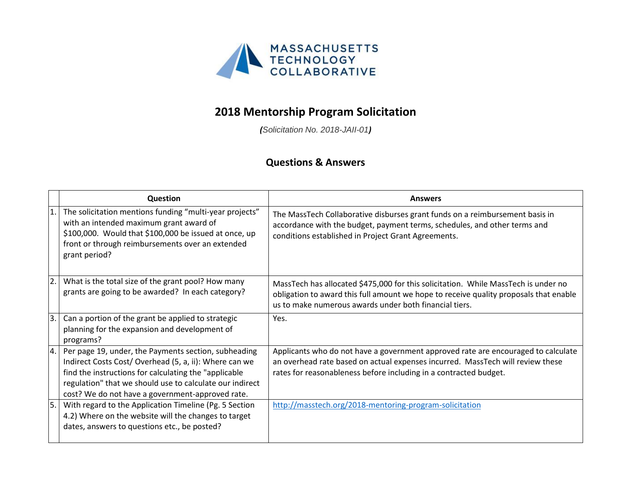

## **2018 Mentorship Program Solicitation**

*(Solicitation No. 2018-JAII-01)*

## **Questions & Answers**

|     | <b>Question</b>                                                                                                                                                                                                                                                                         | <b>Answers</b>                                                                                                                                                                                                                           |
|-----|-----------------------------------------------------------------------------------------------------------------------------------------------------------------------------------------------------------------------------------------------------------------------------------------|------------------------------------------------------------------------------------------------------------------------------------------------------------------------------------------------------------------------------------------|
|     | The solicitation mentions funding "multi-year projects"<br>with an intended maximum grant award of<br>\$100,000. Would that \$100,000 be issued at once, up<br>front or through reimbursements over an extended<br>grant period?                                                        | The MassTech Collaborative disburses grant funds on a reimbursement basis in<br>accordance with the budget, payment terms, schedules, and other terms and<br>conditions established in Project Grant Agreements.                         |
| 2.  | What is the total size of the grant pool? How many<br>grants are going to be awarded? In each category?                                                                                                                                                                                 | MassTech has allocated \$475,000 for this solicitation. While MassTech is under no<br>obligation to award this full amount we hope to receive quality proposals that enable<br>us to make numerous awards under both financial tiers.    |
| 3.1 | Can a portion of the grant be applied to strategic<br>planning for the expansion and development of<br>programs?                                                                                                                                                                        | Yes.                                                                                                                                                                                                                                     |
| 4.  | Per page 19, under, the Payments section, subheading<br>Indirect Costs Cost/ Overhead (5, a, ii): Where can we<br>find the instructions for calculating the "applicable<br>regulation" that we should use to calculate our indirect<br>cost? We do not have a government-approved rate. | Applicants who do not have a government approved rate are encouraged to calculate<br>an overhead rate based on actual expenses incurred. MassTech will review these<br>rates for reasonableness before including in a contracted budget. |
| 5.  | With regard to the Application Timeline (Pg. 5 Section<br>4.2) Where on the website will the changes to target<br>dates, answers to questions etc., be posted?                                                                                                                          | http://masstech.org/2018-mentoring-program-solicitation                                                                                                                                                                                  |